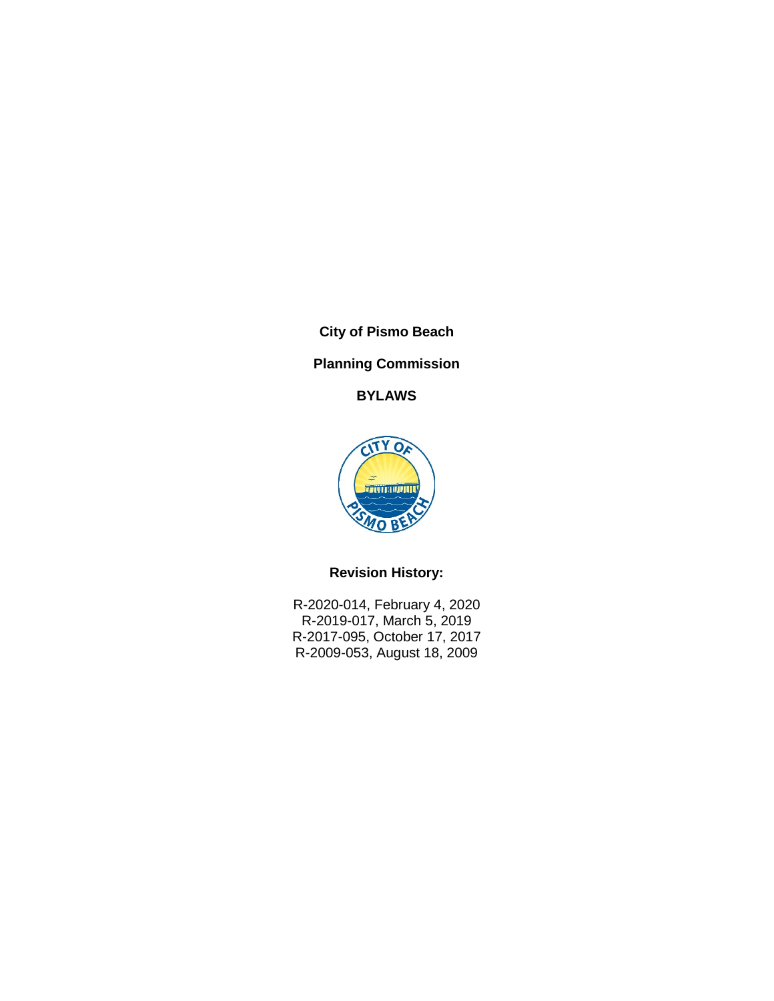**City of Pismo Beach**

# **Planning Commission**

**BYLAWS**



# **Revision History:**

R-2020-014, February 4, 2020 R-2019-017, March 5, 2019 R-2017-095, October 17, 2017 R-2009-053, August 18, 2009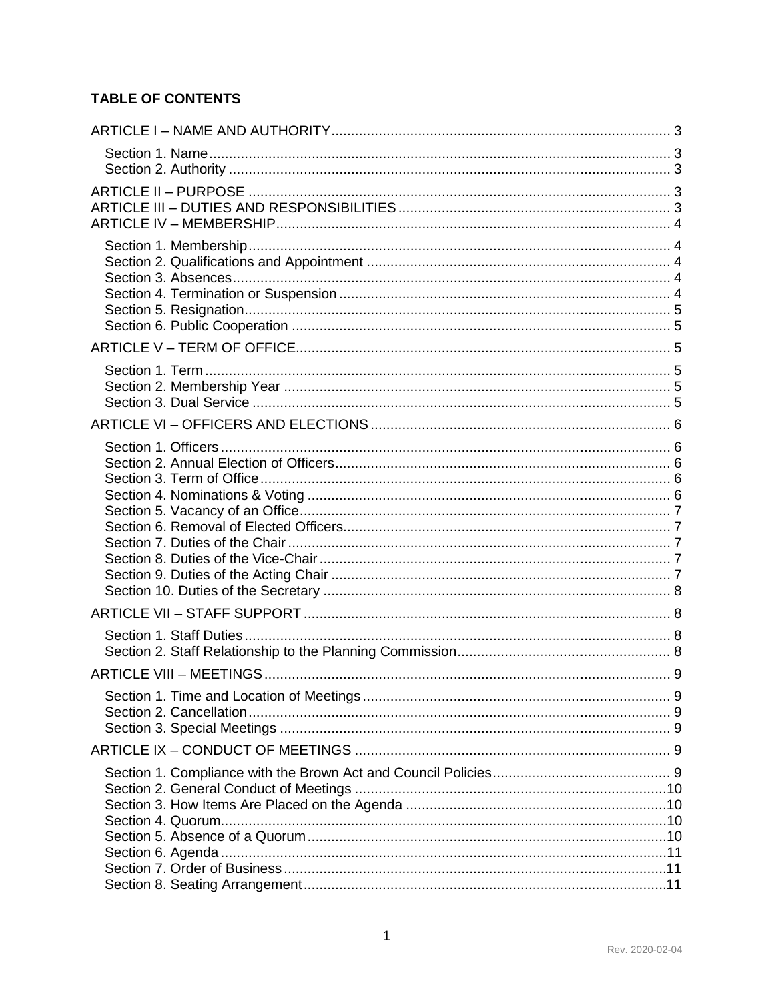# **TABLE OF CONTENTS**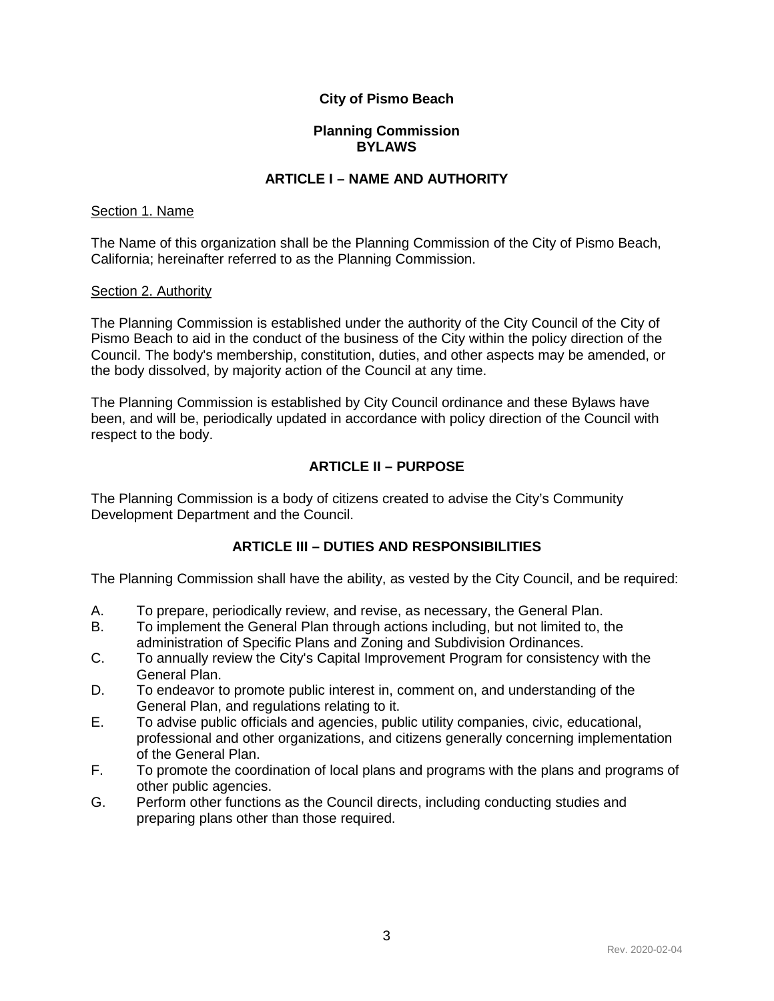## **City of Pismo Beach**

## **Planning Commission BYLAWS**

## **ARTICLE I – NAME AND AUTHORITY**

#### <span id="page-3-1"></span><span id="page-3-0"></span>Section 1. Name

The Name of this organization shall be the Planning Commission of the City of Pismo Beach, California; hereinafter referred to as the Planning Commission.

#### <span id="page-3-2"></span>Section 2. Authority

The Planning Commission is established under the authority of the City Council of the City of Pismo Beach to aid in the conduct of the business of the City within the policy direction of the Council. The body's membership, constitution, duties, and other aspects may be amended, or the body dissolved, by majority action of the Council at any time.

The Planning Commission is established by City Council ordinance and these Bylaws have been, and will be, periodically updated in accordance with policy direction of the Council with respect to the body.

## **ARTICLE II – PURPOSE**

<span id="page-3-3"></span>The Planning Commission is a body of citizens created to advise the City's Community Development Department and the Council.

## **ARTICLE III – DUTIES AND RESPONSIBILITIES**

<span id="page-3-4"></span>The Planning Commission shall have the ability, as vested by the City Council, and be required:

- A. To prepare, periodically review, and revise, as necessary, the General Plan.
- B. To implement the General Plan through actions including, but not limited to, the administration of Specific Plans and Zoning and Subdivision Ordinances.
- C. To annually review the City's Capital Improvement Program for consistency with the General Plan.
- D. To endeavor to promote public interest in, comment on, and understanding of the General Plan, and regulations relating to it.
- E. To advise public officials and agencies, public utility companies, civic, educational, professional and other organizations, and citizens generally concerning implementation of the General Plan.
- F. To promote the coordination of local plans and programs with the plans and programs of other public agencies.
- G. Perform other functions as the Council directs, including conducting studies and preparing plans other than those required.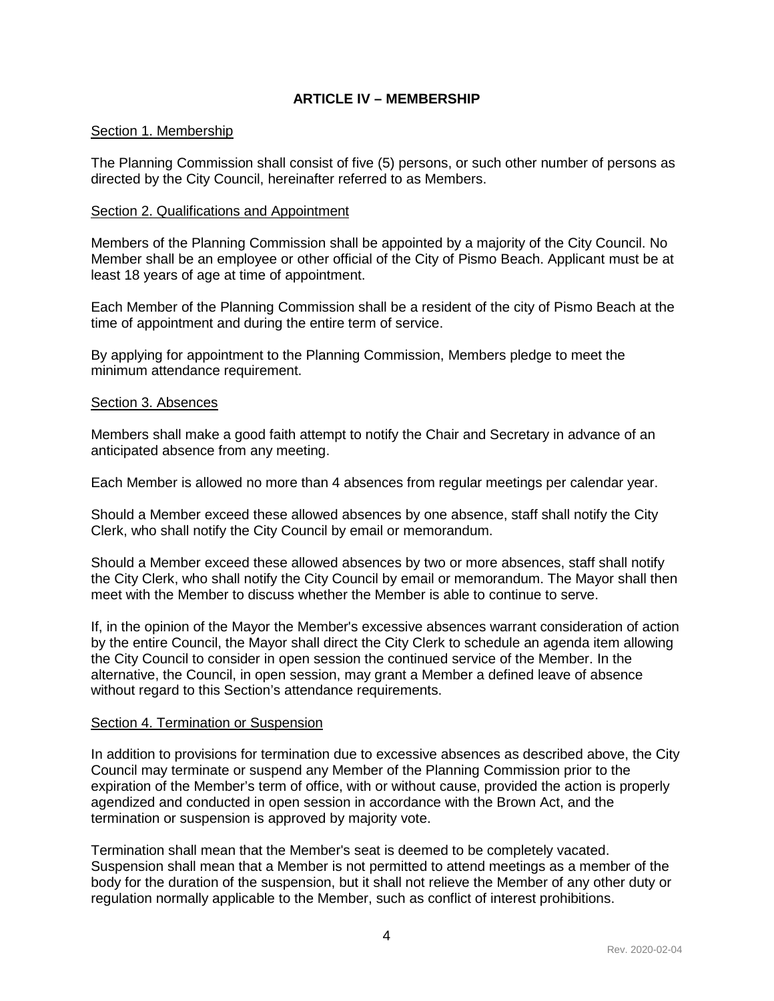## **ARTICLE IV – MEMBERSHIP**

#### <span id="page-4-1"></span><span id="page-4-0"></span>Section 1. Membership

The Planning Commission shall consist of five (5) persons, or such other number of persons as directed by the City Council, hereinafter referred to as Members.

#### <span id="page-4-2"></span>Section 2. Qualifications and Appointment

Members of the Planning Commission shall be appointed by a majority of the City Council. No Member shall be an employee or other official of the City of Pismo Beach. Applicant must be at least 18 years of age at time of appointment.

Each Member of the Planning Commission shall be a resident of the city of Pismo Beach at the time of appointment and during the entire term of service.

By applying for appointment to the Planning Commission, Members pledge to meet the minimum attendance requirement.

#### <span id="page-4-3"></span>Section 3. Absences

Members shall make a good faith attempt to notify the Chair and Secretary in advance of an anticipated absence from any meeting.

Each Member is allowed no more than 4 absences from regular meetings per calendar year.

Should a Member exceed these allowed absences by one absence, staff shall notify the City Clerk, who shall notify the City Council by email or memorandum.

Should a Member exceed these allowed absences by two or more absences, staff shall notify the City Clerk, who shall notify the City Council by email or memorandum. The Mayor shall then meet with the Member to discuss whether the Member is able to continue to serve.

If, in the opinion of the Mayor the Member's excessive absences warrant consideration of action by the entire Council, the Mayor shall direct the City Clerk to schedule an agenda item allowing the City Council to consider in open session the continued service of the Member. In the alternative, the Council, in open session, may grant a Member a defined leave of absence without regard to this Section's attendance requirements.

#### <span id="page-4-4"></span>Section 4. Termination or Suspension

In addition to provisions for termination due to excessive absences as described above, the City Council may terminate or suspend any Member of the Planning Commission prior to the expiration of the Member's term of office, with or without cause, provided the action is properly agendized and conducted in open session in accordance with the Brown Act, and the termination or suspension is approved by majority vote.

Termination shall mean that the Member's seat is deemed to be completely vacated. Suspension shall mean that a Member is not permitted to attend meetings as a member of the body for the duration of the suspension, but it shall not relieve the Member of any other duty or regulation normally applicable to the Member, such as conflict of interest prohibitions.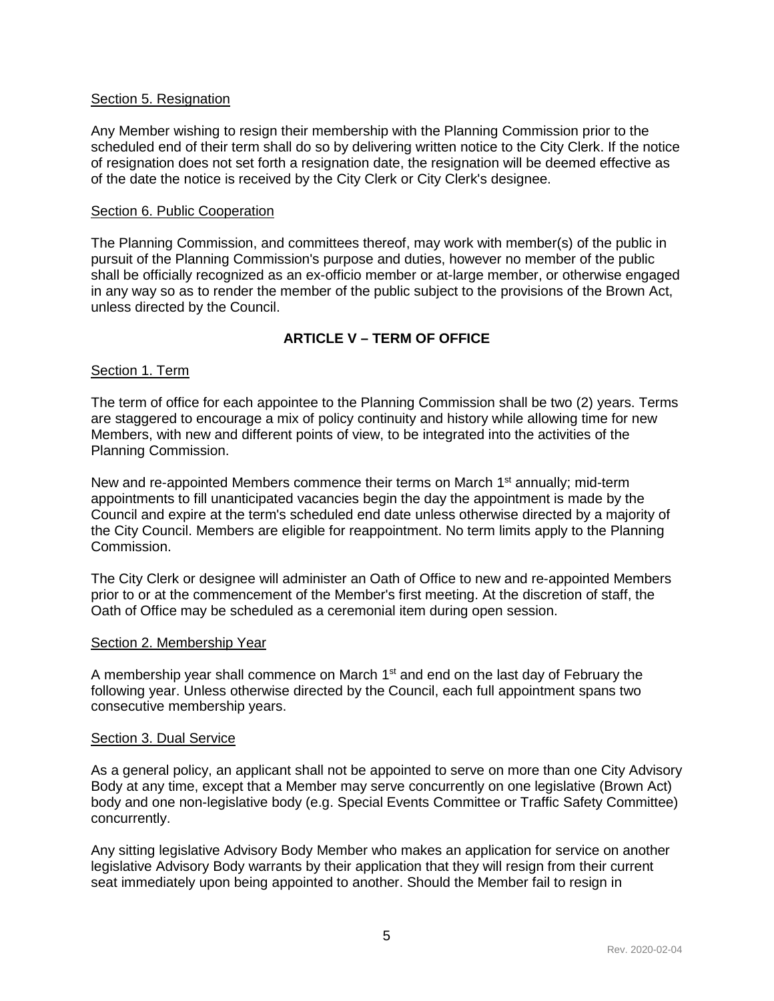#### <span id="page-5-0"></span>Section 5. Resignation

Any Member wishing to resign their membership with the Planning Commission prior to the scheduled end of their term shall do so by delivering written notice to the City Clerk. If the notice of resignation does not set forth a resignation date, the resignation will be deemed effective as of the date the notice is received by the City Clerk or City Clerk's designee.

### <span id="page-5-1"></span>Section 6. Public Cooperation

The Planning Commission, and committees thereof, may work with member(s) of the public in pursuit of the Planning Commission's purpose and duties, however no member of the public shall be officially recognized as an ex-officio member or at-large member, or otherwise engaged in any way so as to render the member of the public subject to the provisions of the Brown Act, unless directed by the Council.

## **ARTICLE V – TERM OF OFFICE**

## <span id="page-5-3"></span><span id="page-5-2"></span>Section 1. Term

The term of office for each appointee to the Planning Commission shall be two (2) years. Terms are staggered to encourage a mix of policy continuity and history while allowing time for new Members, with new and different points of view, to be integrated into the activities of the Planning Commission.

New and re-appointed Members commence their terms on March 1<sup>st</sup> annually; mid-term appointments to fill unanticipated vacancies begin the day the appointment is made by the Council and expire at the term's scheduled end date unless otherwise directed by a majority of the City Council. Members are eligible for reappointment. No term limits apply to the Planning Commission.

The City Clerk or designee will administer an Oath of Office to new and re-appointed Members prior to or at the commencement of the Member's first meeting. At the discretion of staff, the Oath of Office may be scheduled as a ceremonial item during open session.

#### <span id="page-5-4"></span>Section 2. Membership Year

A membership year shall commence on March  $1<sup>st</sup>$  and end on the last day of February the following year. Unless otherwise directed by the Council, each full appointment spans two consecutive membership years.

#### <span id="page-5-5"></span>Section 3. Dual Service

As a general policy, an applicant shall not be appointed to serve on more than one City Advisory Body at any time, except that a Member may serve concurrently on one legislative (Brown Act) body and one non-legislative body (e.g. Special Events Committee or Traffic Safety Committee) concurrently.

Any sitting legislative Advisory Body Member who makes an application for service on another legislative Advisory Body warrants by their application that they will resign from their current seat immediately upon being appointed to another. Should the Member fail to resign in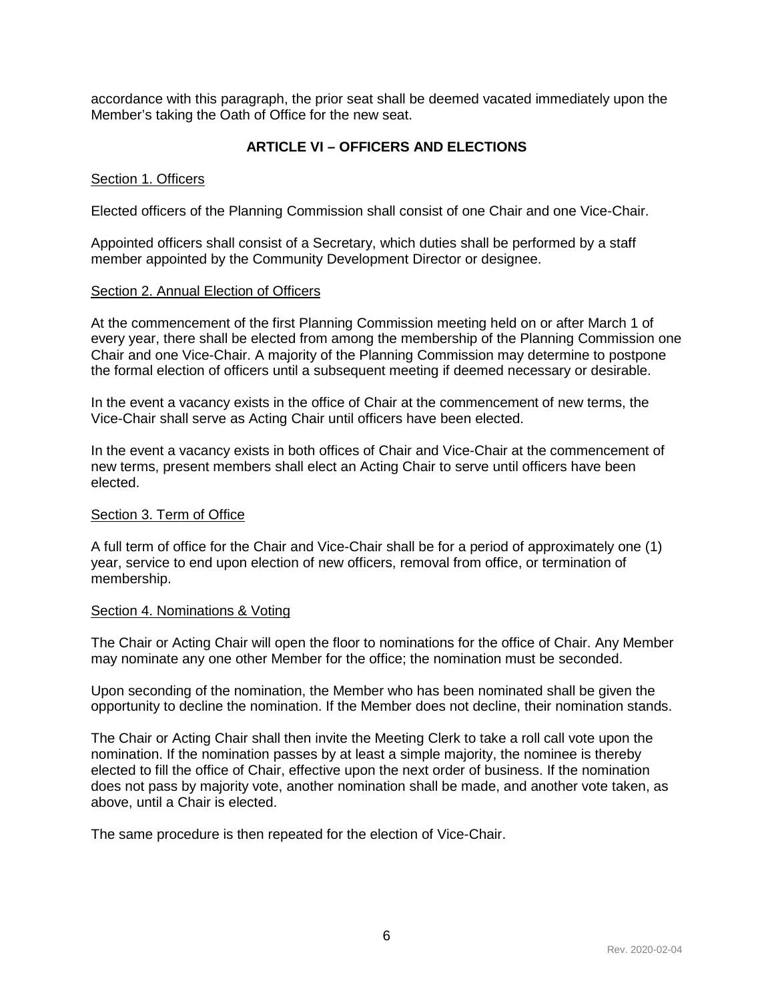accordance with this paragraph, the prior seat shall be deemed vacated immediately upon the Member's taking the Oath of Office for the new seat.

## **ARTICLE VI – OFFICERS AND ELECTIONS**

### <span id="page-6-1"></span><span id="page-6-0"></span>Section 1. Officers

Elected officers of the Planning Commission shall consist of one Chair and one Vice-Chair.

Appointed officers shall consist of a Secretary, which duties shall be performed by a staff member appointed by the Community Development Director or designee.

#### <span id="page-6-2"></span>Section 2. Annual Election of Officers

At the commencement of the first Planning Commission meeting held on or after March 1 of every year, there shall be elected from among the membership of the Planning Commission one Chair and one Vice-Chair. A majority of the Planning Commission may determine to postpone the formal election of officers until a subsequent meeting if deemed necessary or desirable.

In the event a vacancy exists in the office of Chair at the commencement of new terms, the Vice-Chair shall serve as Acting Chair until officers have been elected.

In the event a vacancy exists in both offices of Chair and Vice-Chair at the commencement of new terms, present members shall elect an Acting Chair to serve until officers have been elected.

#### <span id="page-6-3"></span>Section 3. Term of Office

A full term of office for the Chair and Vice-Chair shall be for a period of approximately one (1) year, service to end upon election of new officers, removal from office, or termination of membership.

#### <span id="page-6-4"></span>Section 4. Nominations & Voting

The Chair or Acting Chair will open the floor to nominations for the office of Chair. Any Member may nominate any one other Member for the office; the nomination must be seconded.

Upon seconding of the nomination, the Member who has been nominated shall be given the opportunity to decline the nomination. If the Member does not decline, their nomination stands.

The Chair or Acting Chair shall then invite the Meeting Clerk to take a roll call vote upon the nomination. If the nomination passes by at least a simple majority, the nominee is thereby elected to fill the office of Chair, effective upon the next order of business. If the nomination does not pass by majority vote, another nomination shall be made, and another vote taken, as above, until a Chair is elected.

The same procedure is then repeated for the election of Vice-Chair.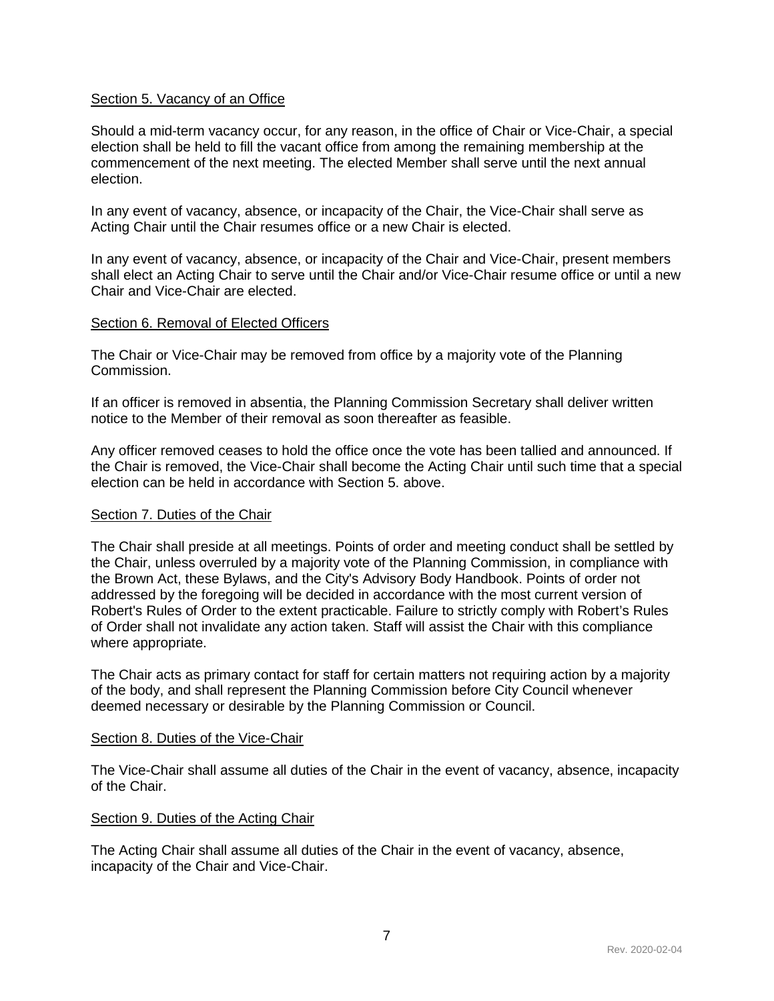#### <span id="page-7-0"></span>Section 5. Vacancy of an Office

Should a mid-term vacancy occur, for any reason, in the office of Chair or Vice-Chair, a special election shall be held to fill the vacant office from among the remaining membership at the commencement of the next meeting. The elected Member shall serve until the next annual election.

In any event of vacancy, absence, or incapacity of the Chair, the Vice-Chair shall serve as Acting Chair until the Chair resumes office or a new Chair is elected.

In any event of vacancy, absence, or incapacity of the Chair and Vice-Chair, present members shall elect an Acting Chair to serve until the Chair and/or Vice-Chair resume office or until a new Chair and Vice-Chair are elected.

#### <span id="page-7-1"></span>Section 6. Removal of Elected Officers

The Chair or Vice-Chair may be removed from office by a majority vote of the Planning Commission.

If an officer is removed in absentia, the Planning Commission Secretary shall deliver written notice to the Member of their removal as soon thereafter as feasible.

Any officer removed ceases to hold the office once the vote has been tallied and announced. If the Chair is removed, the Vice-Chair shall become the Acting Chair until such time that a special election can be held in accordance with Section 5. above.

#### <span id="page-7-2"></span>Section 7. Duties of the Chair

The Chair shall preside at all meetings. Points of order and meeting conduct shall be settled by the Chair, unless overruled by a majority vote of the Planning Commission, in compliance with the Brown Act, these Bylaws, and the City's Advisory Body Handbook. Points of order not addressed by the foregoing will be decided in accordance with the most current version of Robert's Rules of Order to the extent practicable. Failure to strictly comply with Robert's Rules of Order shall not invalidate any action taken. Staff will assist the Chair with this compliance where appropriate.

The Chair acts as primary contact for staff for certain matters not requiring action by a majority of the body, and shall represent the Planning Commission before City Council whenever deemed necessary or desirable by the Planning Commission or Council.

#### <span id="page-7-3"></span>Section 8. Duties of the Vice-Chair

The Vice-Chair shall assume all duties of the Chair in the event of vacancy, absence, incapacity of the Chair.

#### <span id="page-7-4"></span>Section 9. Duties of the Acting Chair

The Acting Chair shall assume all duties of the Chair in the event of vacancy, absence, incapacity of the Chair and Vice-Chair.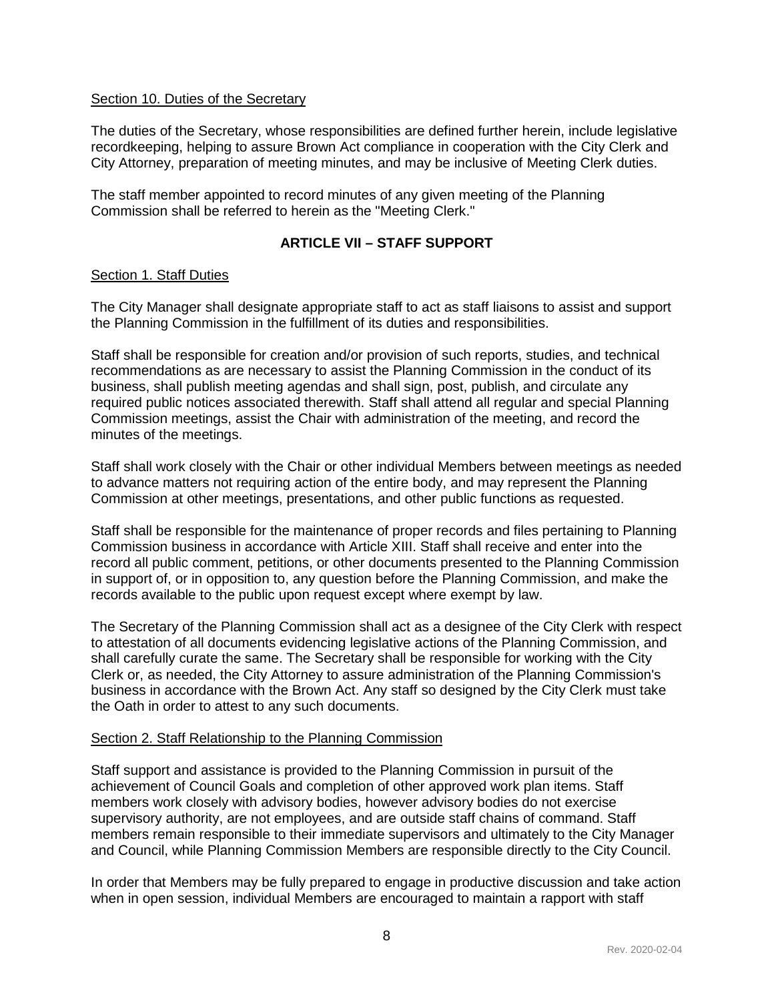### <span id="page-8-0"></span>Section 10. Duties of the Secretary

The duties of the Secretary, whose responsibilities are defined further herein, include legislative recordkeeping, helping to assure Brown Act compliance in cooperation with the City Clerk and City Attorney, preparation of meeting minutes, and may be inclusive of Meeting Clerk duties.

The staff member appointed to record minutes of any given meeting of the Planning Commission shall be referred to herein as the "Meeting Clerk."

## **ARTICLE VII – STAFF SUPPORT**

## <span id="page-8-2"></span><span id="page-8-1"></span>Section 1. Staff Duties

The City Manager shall designate appropriate staff to act as staff liaisons to assist and support the Planning Commission in the fulfillment of its duties and responsibilities.

Staff shall be responsible for creation and/or provision of such reports, studies, and technical recommendations as are necessary to assist the Planning Commission in the conduct of its business, shall publish meeting agendas and shall sign, post, publish, and circulate any required public notices associated therewith. Staff shall attend all regular and special Planning Commission meetings, assist the Chair with administration of the meeting, and record the minutes of the meetings.

Staff shall work closely with the Chair or other individual Members between meetings as needed to advance matters not requiring action of the entire body, and may represent the Planning Commission at other meetings, presentations, and other public functions as requested.

Staff shall be responsible for the maintenance of proper records and files pertaining to Planning Commission business in accordance with Article XIII. Staff shall receive and enter into the record all public comment, petitions, or other documents presented to the Planning Commission in support of, or in opposition to, any question before the Planning Commission, and make the records available to the public upon request except where exempt by law.

The Secretary of the Planning Commission shall act as a designee of the City Clerk with respect to attestation of all documents evidencing legislative actions of the Planning Commission, and shall carefully curate the same. The Secretary shall be responsible for working with the City Clerk or, as needed, the City Attorney to assure administration of the Planning Commission's business in accordance with the Brown Act. Any staff so designed by the City Clerk must take the Oath in order to attest to any such documents.

#### <span id="page-8-3"></span>Section 2. Staff Relationship to the Planning Commission

Staff support and assistance is provided to the Planning Commission in pursuit of the achievement of Council Goals and completion of other approved work plan items. Staff members work closely with advisory bodies, however advisory bodies do not exercise supervisory authority, are not employees, and are outside staff chains of command. Staff members remain responsible to their immediate supervisors and ultimately to the City Manager and Council, while Planning Commission Members are responsible directly to the City Council.

In order that Members may be fully prepared to engage in productive discussion and take action when in open session, individual Members are encouraged to maintain a rapport with staff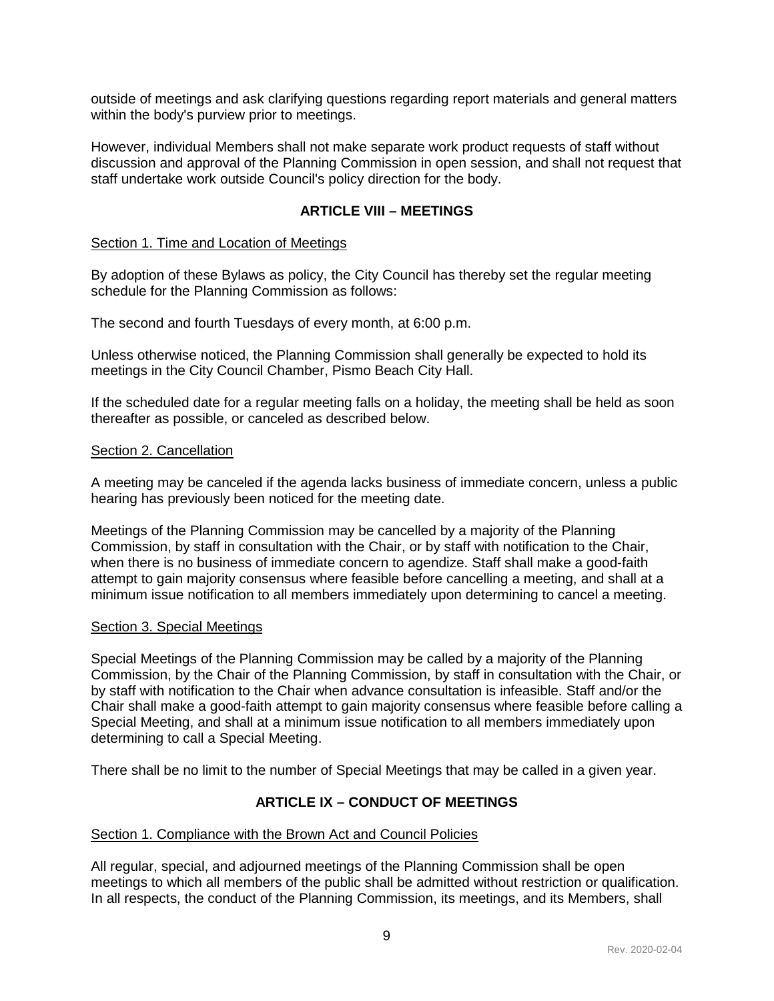outside of meetings and ask clarifying questions regarding report materials and general matters within the body's purview prior to meetings.

However, individual Members shall not make separate work product requests of staff without discussion and approval of the Planning Commission in open session, and shall not request that staff undertake work outside Council's policy direction for the body.

## **ARTICLE VIII – MEETINGS**

#### <span id="page-9-1"></span><span id="page-9-0"></span>Section 1. Time and Location of Meetings

By adoption of these Bylaws as policy, the City Council has thereby set the regular meeting schedule for the Planning Commission as follows:

The second and fourth Tuesdays of every month, at 6:00 p.m.

Unless otherwise noticed, the Planning Commission shall generally be expected to hold its meetings in the City Council Chamber, Pismo Beach City Hall.

If the scheduled date for a regular meeting falls on a holiday, the meeting shall be held as soon thereafter as possible, or canceled as described below.

#### <span id="page-9-2"></span>Section 2. Cancellation

A meeting may be canceled if the agenda lacks business of immediate concern, unless a public hearing has previously been noticed for the meeting date.

Meetings of the Planning Commission may be cancelled by a majority of the Planning Commission, by staff in consultation with the Chair, or by staff with notification to the Chair, when there is no business of immediate concern to agendize. Staff shall make a good-faith attempt to gain majority consensus where feasible before cancelling a meeting, and shall at a minimum issue notification to all members immediately upon determining to cancel a meeting.

#### <span id="page-9-3"></span>Section 3. Special Meetings

Special Meetings of the Planning Commission may be called by a majority of the Planning Commission, by the Chair of the Planning Commission, by staff in consultation with the Chair, or by staff with notification to the Chair when advance consultation is infeasible. Staff and/or the Chair shall make a good-faith attempt to gain majority consensus where feasible before calling a Special Meeting, and shall at a minimum issue notification to all members immediately upon determining to call a Special Meeting.

<span id="page-9-4"></span>There shall be no limit to the number of Special Meetings that may be called in a given year.

## **ARTICLE IX – CONDUCT OF MEETINGS**

#### <span id="page-9-5"></span>Section 1. Compliance with the Brown Act and Council Policies

All regular, special, and adjourned meetings of the Planning Commission shall be open meetings to which all members of the public shall be admitted without restriction or qualification. In all respects, the conduct of the Planning Commission, its meetings, and its Members, shall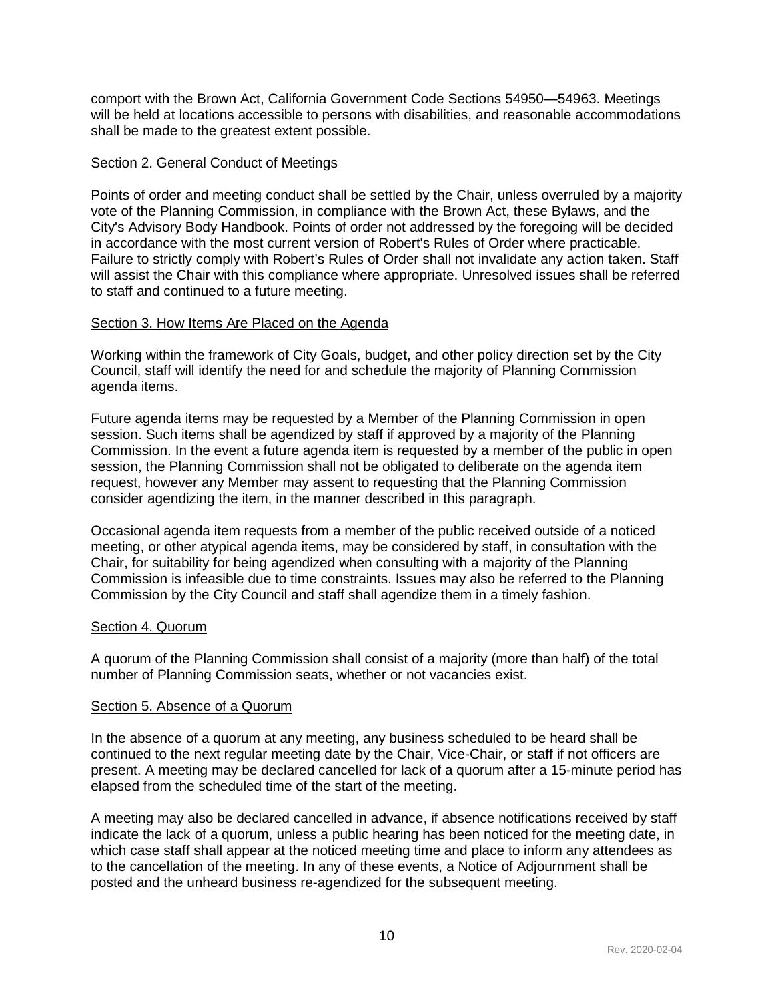comport with the Brown Act, California Government Code Sections 54950—54963. Meetings will be held at locations accessible to persons with disabilities, and reasonable accommodations shall be made to the greatest extent possible.

## <span id="page-10-0"></span>Section 2. General Conduct of Meetings

Points of order and meeting conduct shall be settled by the Chair, unless overruled by a majority vote of the Planning Commission, in compliance with the Brown Act, these Bylaws, and the City's Advisory Body Handbook. Points of order not addressed by the foregoing will be decided in accordance with the most current version of Robert's Rules of Order where practicable. Failure to strictly comply with Robert's Rules of Order shall not invalidate any action taken. Staff will assist the Chair with this compliance where appropriate. Unresolved issues shall be referred to staff and continued to a future meeting.

## <span id="page-10-1"></span>Section 3. How Items Are Placed on the Agenda

Working within the framework of City Goals, budget, and other policy direction set by the City Council, staff will identify the need for and schedule the majority of Planning Commission agenda items.

Future agenda items may be requested by a Member of the Planning Commission in open session. Such items shall be agendized by staff if approved by a majority of the Planning Commission. In the event a future agenda item is requested by a member of the public in open session, the Planning Commission shall not be obligated to deliberate on the agenda item request, however any Member may assent to requesting that the Planning Commission consider agendizing the item, in the manner described in this paragraph.

Occasional agenda item requests from a member of the public received outside of a noticed meeting, or other atypical agenda items, may be considered by staff, in consultation with the Chair, for suitability for being agendized when consulting with a majority of the Planning Commission is infeasible due to time constraints. Issues may also be referred to the Planning Commission by the City Council and staff shall agendize them in a timely fashion.

#### <span id="page-10-2"></span>Section 4. Quorum

A quorum of the Planning Commission shall consist of a majority (more than half) of the total number of Planning Commission seats, whether or not vacancies exist.

#### <span id="page-10-3"></span>Section 5. Absence of a Quorum

In the absence of a quorum at any meeting, any business scheduled to be heard shall be continued to the next regular meeting date by the Chair, Vice-Chair, or staff if not officers are present. A meeting may be declared cancelled for lack of a quorum after a 15-minute period has elapsed from the scheduled time of the start of the meeting.

A meeting may also be declared cancelled in advance, if absence notifications received by staff indicate the lack of a quorum, unless a public hearing has been noticed for the meeting date, in which case staff shall appear at the noticed meeting time and place to inform any attendees as to the cancellation of the meeting. In any of these events, a Notice of Adjournment shall be posted and the unheard business re-agendized for the subsequent meeting.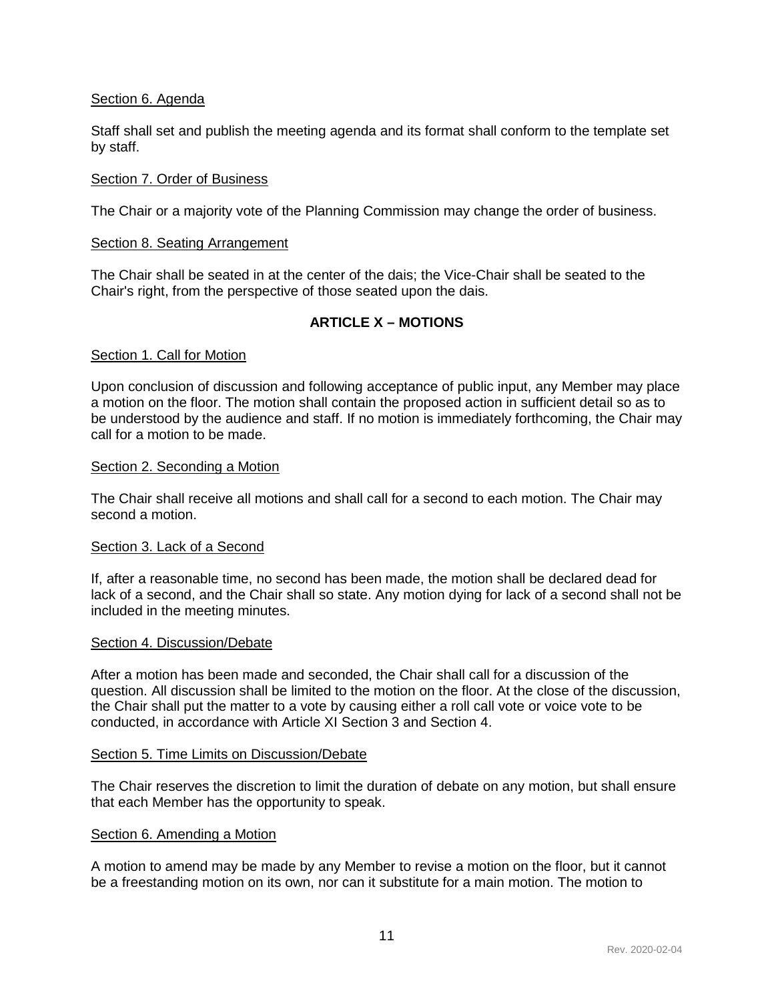## <span id="page-11-0"></span>Section 6. Agenda

Staff shall set and publish the meeting agenda and its format shall conform to the template set by staff.

### <span id="page-11-1"></span>Section 7. Order of Business

The Chair or a majority vote of the Planning Commission may change the order of business.

#### <span id="page-11-2"></span>Section 8. Seating Arrangement

The Chair shall be seated in at the center of the dais; the Vice-Chair shall be seated to the Chair's right, from the perspective of those seated upon the dais.

## **ARTICLE X – MOTIONS**

#### <span id="page-11-4"></span><span id="page-11-3"></span>Section 1. Call for Motion

Upon conclusion of discussion and following acceptance of public input, any Member may place a motion on the floor. The motion shall contain the proposed action in sufficient detail so as to be understood by the audience and staff. If no motion is immediately forthcoming, the Chair may call for a motion to be made.

#### <span id="page-11-5"></span>Section 2. Seconding a Motion

The Chair shall receive all motions and shall call for a second to each motion. The Chair may second a motion.

#### <span id="page-11-6"></span>Section 3. Lack of a Second

If, after a reasonable time, no second has been made, the motion shall be declared dead for lack of a second, and the Chair shall so state. Any motion dying for lack of a second shall not be included in the meeting minutes.

#### <span id="page-11-7"></span>Section 4. Discussion/Debate

After a motion has been made and seconded, the Chair shall call for a discussion of the question. All discussion shall be limited to the motion on the floor. At the close of the discussion, the Chair shall put the matter to a vote by causing either a roll call vote or voice vote to be conducted, in accordance with Article XI Section 3 and Section 4.

#### <span id="page-11-8"></span>Section 5. Time Limits on Discussion/Debate

The Chair reserves the discretion to limit the duration of debate on any motion, but shall ensure that each Member has the opportunity to speak.

#### <span id="page-11-9"></span>Section 6. Amending a Motion

A motion to amend may be made by any Member to revise a motion on the floor, but it cannot be a freestanding motion on its own, nor can it substitute for a main motion. The motion to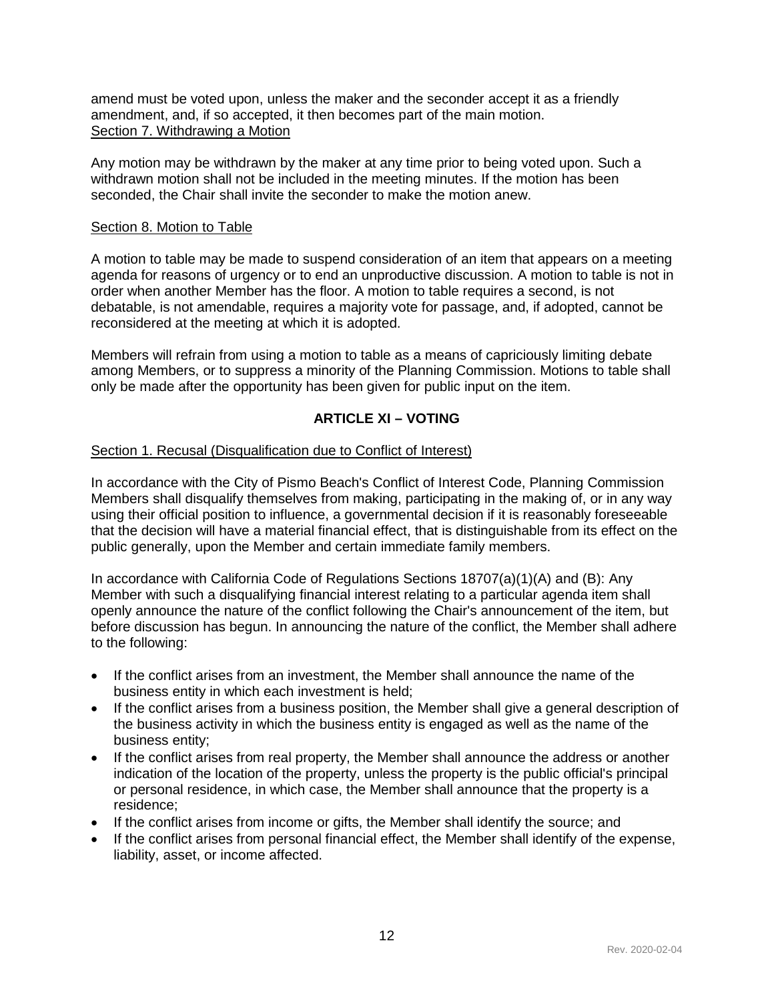<span id="page-12-0"></span>amend must be voted upon, unless the maker and the seconder accept it as a friendly amendment, and, if so accepted, it then becomes part of the main motion. Section 7. Withdrawing a Motion

Any motion may be withdrawn by the maker at any time prior to being voted upon. Such a withdrawn motion shall not be included in the meeting minutes. If the motion has been seconded, the Chair shall invite the seconder to make the motion anew.

### <span id="page-12-1"></span>Section 8. Motion to Table

A motion to table may be made to suspend consideration of an item that appears on a meeting agenda for reasons of urgency or to end an unproductive discussion. A motion to table is not in order when another Member has the floor. A motion to table requires a second, is not debatable, is not amendable, requires a majority vote for passage, and, if adopted, cannot be reconsidered at the meeting at which it is adopted.

Members will refrain from using a motion to table as a means of capriciously limiting debate among Members, or to suppress a minority of the Planning Commission. Motions to table shall only be made after the opportunity has been given for public input on the item.

## **ARTICLE XI – VOTING**

## <span id="page-12-3"></span><span id="page-12-2"></span>Section 1. Recusal (Disqualification due to Conflict of Interest)

In accordance with the City of Pismo Beach's Conflict of Interest Code, Planning Commission Members shall disqualify themselves from making, participating in the making of, or in any way using their official position to influence, a governmental decision if it is reasonably foreseeable that the decision will have a material financial effect, that is distinguishable from its effect on the public generally, upon the Member and certain immediate family members.

In accordance with California Code of Regulations Sections 18707(a)(1)(A) and (B): Any Member with such a disqualifying financial interest relating to a particular agenda item shall openly announce the nature of the conflict following the Chair's announcement of the item, but before discussion has begun. In announcing the nature of the conflict, the Member shall adhere to the following:

- If the conflict arises from an investment, the Member shall announce the name of the business entity in which each investment is held;
- If the conflict arises from a business position, the Member shall give a general description of the business activity in which the business entity is engaged as well as the name of the business entity;
- If the conflict arises from real property, the Member shall announce the address or another indication of the location of the property, unless the property is the public official's principal or personal residence, in which case, the Member shall announce that the property is a residence;
- If the conflict arises from income or gifts, the Member shall identify the source; and
- If the conflict arises from personal financial effect, the Member shall identify of the expense, liability, asset, or income affected.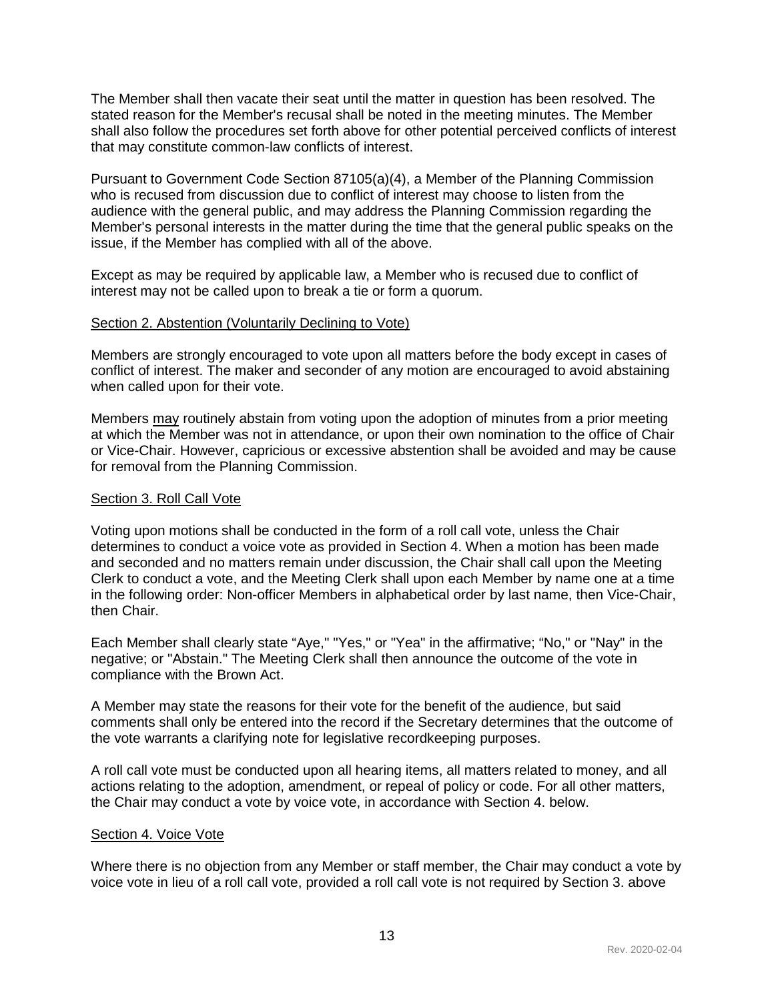The Member shall then vacate their seat until the matter in question has been resolved. The stated reason for the Member's recusal shall be noted in the meeting minutes. The Member shall also follow the procedures set forth above for other potential perceived conflicts of interest that may constitute common-law conflicts of interest.

Pursuant to Government Code Section 87105(a)(4), a Member of the Planning Commission who is recused from discussion due to conflict of interest may choose to listen from the audience with the general public, and may address the Planning Commission regarding the Member's personal interests in the matter during the time that the general public speaks on the issue, if the Member has complied with all of the above.

Except as may be required by applicable law, a Member who is recused due to conflict of interest may not be called upon to break a tie or form a quorum.

#### <span id="page-13-0"></span>Section 2. Abstention (Voluntarily Declining to Vote)

Members are strongly encouraged to vote upon all matters before the body except in cases of conflict of interest. The maker and seconder of any motion are encouraged to avoid abstaining when called upon for their vote.

Members may routinely abstain from voting upon the adoption of minutes from a prior meeting at which the Member was not in attendance, or upon their own nomination to the office of Chair or Vice-Chair. However, capricious or excessive abstention shall be avoided and may be cause for removal from the Planning Commission.

#### <span id="page-13-1"></span>Section 3. Roll Call Vote

Voting upon motions shall be conducted in the form of a roll call vote, unless the Chair determines to conduct a voice vote as provided in Section 4. When a motion has been made and seconded and no matters remain under discussion, the Chair shall call upon the Meeting Clerk to conduct a vote, and the Meeting Clerk shall upon each Member by name one at a time in the following order: Non-officer Members in alphabetical order by last name, then Vice-Chair, then Chair.

Each Member shall clearly state "Aye," "Yes," or "Yea" in the affirmative; "No," or "Nay" in the negative; or "Abstain." The Meeting Clerk shall then announce the outcome of the vote in compliance with the Brown Act.

A Member may state the reasons for their vote for the benefit of the audience, but said comments shall only be entered into the record if the Secretary determines that the outcome of the vote warrants a clarifying note for legislative recordkeeping purposes.

A roll call vote must be conducted upon all hearing items, all matters related to money, and all actions relating to the adoption, amendment, or repeal of policy or code. For all other matters, the Chair may conduct a vote by voice vote, in accordance with Section 4. below.

#### <span id="page-13-2"></span>Section 4. Voice Vote

Where there is no objection from any Member or staff member, the Chair may conduct a vote by voice vote in lieu of a roll call vote, provided a roll call vote is not required by Section 3. above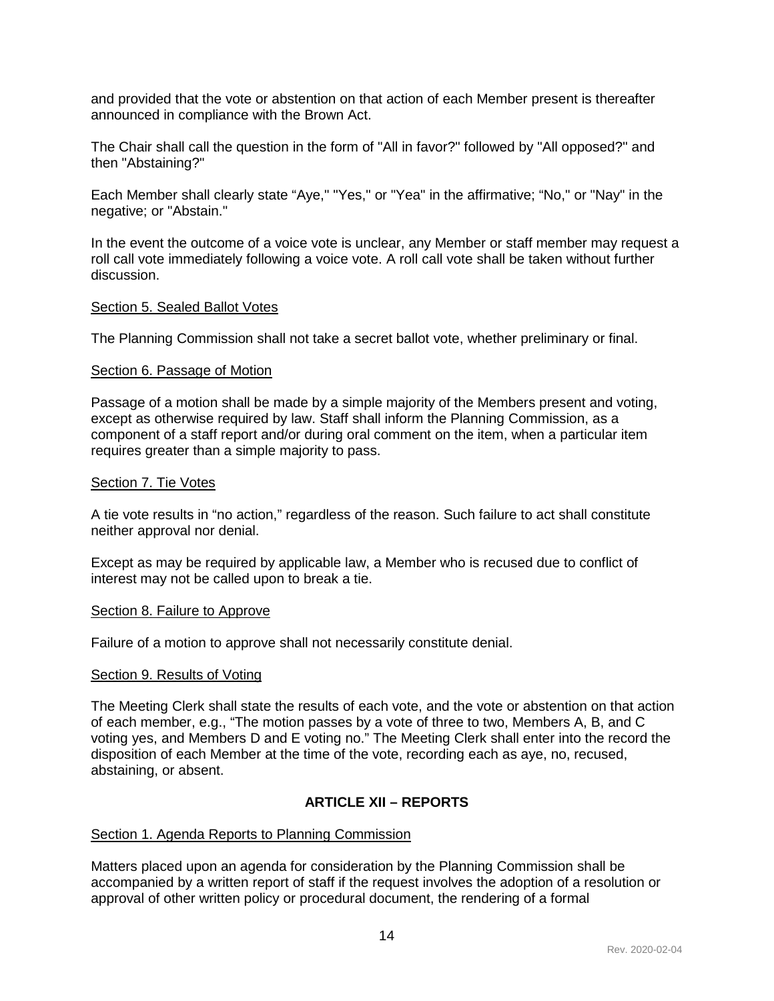and provided that the vote or abstention on that action of each Member present is thereafter announced in compliance with the Brown Act.

The Chair shall call the question in the form of "All in favor?" followed by "All opposed?" and then "Abstaining?"

Each Member shall clearly state "Aye," "Yes," or "Yea" in the affirmative; "No," or "Nay" in the negative; or "Abstain."

In the event the outcome of a voice vote is unclear, any Member or staff member may request a roll call vote immediately following a voice vote. A roll call vote shall be taken without further discussion.

#### <span id="page-14-0"></span>Section 5. Sealed Ballot Votes

The Planning Commission shall not take a secret ballot vote, whether preliminary or final.

#### <span id="page-14-1"></span>Section 6. Passage of Motion

Passage of a motion shall be made by a simple majority of the Members present and voting, except as otherwise required by law. Staff shall inform the Planning Commission, as a component of a staff report and/or during oral comment on the item, when a particular item requires greater than a simple majority to pass.

#### <span id="page-14-2"></span>Section 7. Tie Votes

A tie vote results in "no action," regardless of the reason. Such failure to act shall constitute neither approval nor denial.

Except as may be required by applicable law, a Member who is recused due to conflict of interest may not be called upon to break a tie.

#### <span id="page-14-3"></span>Section 8. Failure to Approve

Failure of a motion to approve shall not necessarily constitute denial.

#### <span id="page-14-4"></span>Section 9. Results of Voting

The Meeting Clerk shall state the results of each vote, and the vote or abstention on that action of each member, e.g., "The motion passes by a vote of three to two, Members A, B, and C voting yes, and Members D and E voting no." The Meeting Clerk shall enter into the record the disposition of each Member at the time of the vote, recording each as aye, no, recused, abstaining, or absent.

#### **ARTICLE XII – REPORTS**

#### <span id="page-14-6"></span><span id="page-14-5"></span>Section 1. Agenda Reports to Planning Commission

Matters placed upon an agenda for consideration by the Planning Commission shall be accompanied by a written report of staff if the request involves the adoption of a resolution or approval of other written policy or procedural document, the rendering of a formal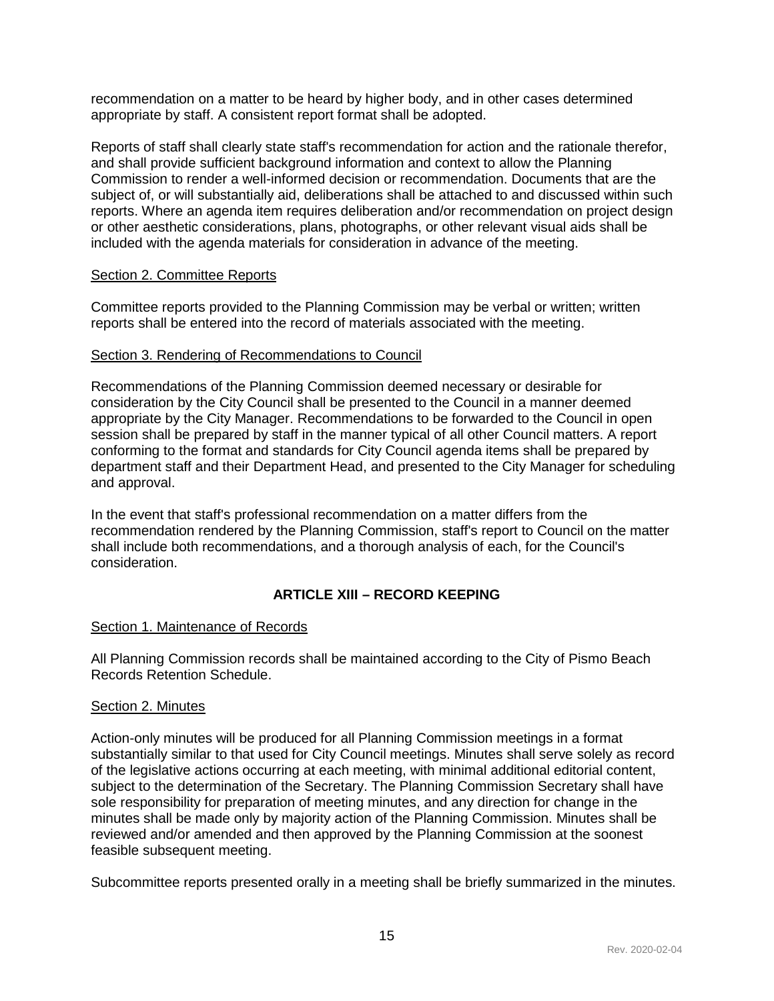recommendation on a matter to be heard by higher body, and in other cases determined appropriate by staff. A consistent report format shall be adopted.

Reports of staff shall clearly state staff's recommendation for action and the rationale therefor, and shall provide sufficient background information and context to allow the Planning Commission to render a well-informed decision or recommendation. Documents that are the subject of, or will substantially aid, deliberations shall be attached to and discussed within such reports. Where an agenda item requires deliberation and/or recommendation on project design or other aesthetic considerations, plans, photographs, or other relevant visual aids shall be included with the agenda materials for consideration in advance of the meeting.

#### <span id="page-15-0"></span>Section 2. Committee Reports

Committee reports provided to the Planning Commission may be verbal or written; written reports shall be entered into the record of materials associated with the meeting.

#### <span id="page-15-1"></span>Section 3. Rendering of Recommendations to Council

Recommendations of the Planning Commission deemed necessary or desirable for consideration by the City Council shall be presented to the Council in a manner deemed appropriate by the City Manager. Recommendations to be forwarded to the Council in open session shall be prepared by staff in the manner typical of all other Council matters. A report conforming to the format and standards for City Council agenda items shall be prepared by department staff and their Department Head, and presented to the City Manager for scheduling and approval.

In the event that staff's professional recommendation on a matter differs from the recommendation rendered by the Planning Commission, staff's report to Council on the matter shall include both recommendations, and a thorough analysis of each, for the Council's consideration.

## **ARTICLE XIII – RECORD KEEPING**

#### <span id="page-15-3"></span><span id="page-15-2"></span>Section 1. Maintenance of Records

All Planning Commission records shall be maintained according to the City of Pismo Beach Records Retention Schedule.

#### <span id="page-15-4"></span>Section 2. Minutes

Action-only minutes will be produced for all Planning Commission meetings in a format substantially similar to that used for City Council meetings. Minutes shall serve solely as record of the legislative actions occurring at each meeting, with minimal additional editorial content, subject to the determination of the Secretary. The Planning Commission Secretary shall have sole responsibility for preparation of meeting minutes, and any direction for change in the minutes shall be made only by majority action of the Planning Commission. Minutes shall be reviewed and/or amended and then approved by the Planning Commission at the soonest feasible subsequent meeting.

Subcommittee reports presented orally in a meeting shall be briefly summarized in the minutes.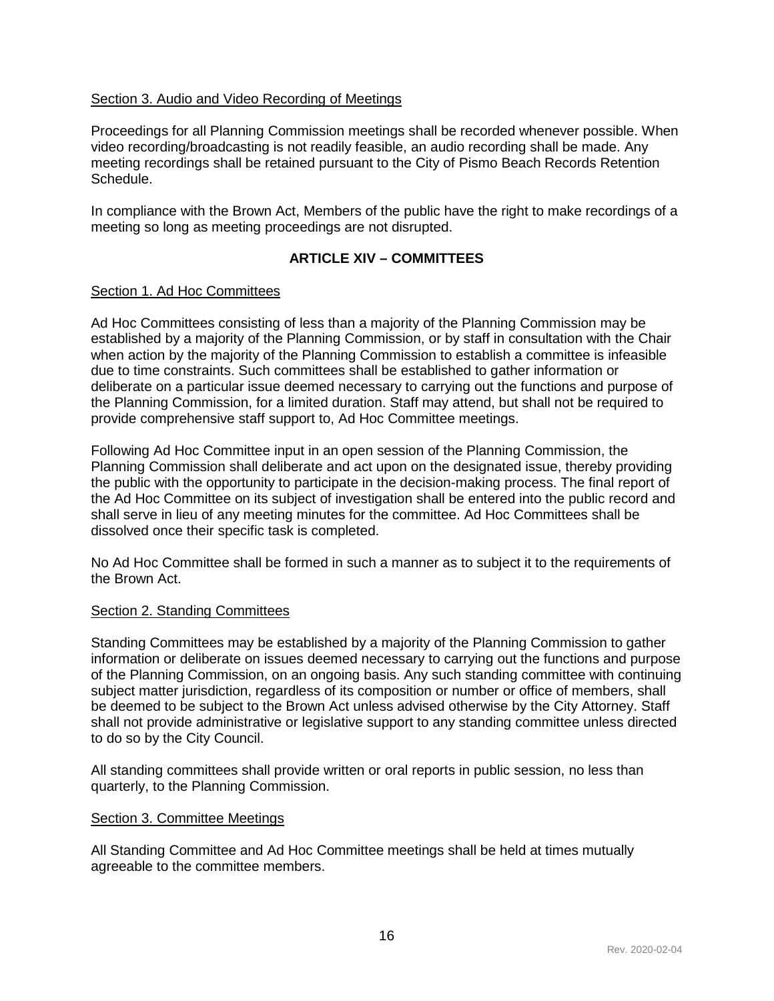## <span id="page-16-0"></span>Section 3. Audio and Video Recording of Meetings

Proceedings for all Planning Commission meetings shall be recorded whenever possible. When video recording/broadcasting is not readily feasible, an audio recording shall be made. Any meeting recordings shall be retained pursuant to the City of Pismo Beach Records Retention Schedule.

In compliance with the Brown Act, Members of the public have the right to make recordings of a meeting so long as meeting proceedings are not disrupted.

## **ARTICLE XIV – COMMITTEES**

#### <span id="page-16-2"></span><span id="page-16-1"></span>Section 1. Ad Hoc Committees

Ad Hoc Committees consisting of less than a majority of the Planning Commission may be established by a majority of the Planning Commission, or by staff in consultation with the Chair when action by the majority of the Planning Commission to establish a committee is infeasible due to time constraints. Such committees shall be established to gather information or deliberate on a particular issue deemed necessary to carrying out the functions and purpose of the Planning Commission, for a limited duration. Staff may attend, but shall not be required to provide comprehensive staff support to, Ad Hoc Committee meetings.

Following Ad Hoc Committee input in an open session of the Planning Commission, the Planning Commission shall deliberate and act upon on the designated issue, thereby providing the public with the opportunity to participate in the decision-making process. The final report of the Ad Hoc Committee on its subject of investigation shall be entered into the public record and shall serve in lieu of any meeting minutes for the committee. Ad Hoc Committees shall be dissolved once their specific task is completed.

No Ad Hoc Committee shall be formed in such a manner as to subject it to the requirements of the Brown Act.

#### <span id="page-16-3"></span>Section 2. Standing Committees

Standing Committees may be established by a majority of the Planning Commission to gather information or deliberate on issues deemed necessary to carrying out the functions and purpose of the Planning Commission, on an ongoing basis. Any such standing committee with continuing subject matter jurisdiction, regardless of its composition or number or office of members, shall be deemed to be subject to the Brown Act unless advised otherwise by the City Attorney. Staff shall not provide administrative or legislative support to any standing committee unless directed to do so by the City Council.

All standing committees shall provide written or oral reports in public session, no less than quarterly, to the Planning Commission.

#### <span id="page-16-4"></span>Section 3. Committee Meetings

All Standing Committee and Ad Hoc Committee meetings shall be held at times mutually agreeable to the committee members.